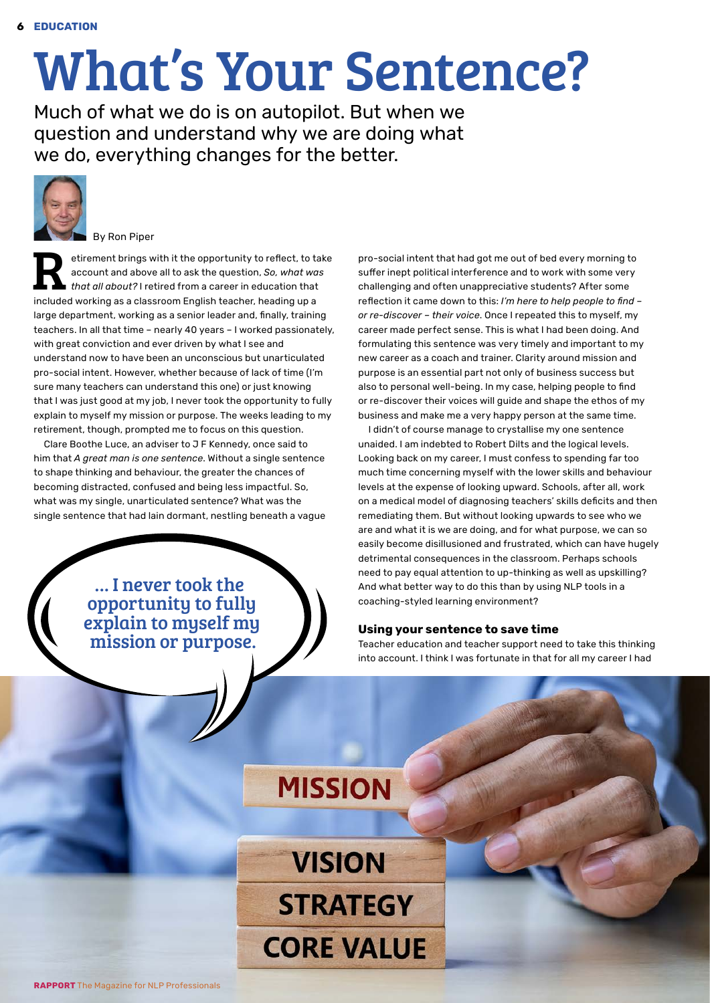## What's Your Sentence?

Much of what we do is on autopilot. But when we question and understand why we are doing what we do, everything changes for the better.



By Ron Piper

etirement brings with it the opportunity to reflect, to take<br>account and above all to ask the question, So, what was<br>that all about? I retired from a career in education that<br>included working as a classroom English togethe account and above all to ask the question, *So, what was that all about?* I retired from a career in education that included working as a classroom English teacher, heading up a large department, working as a senior leader and, finally, training teachers. In all that time – nearly 40 years – I worked passionately, with great conviction and ever driven by what I see and understand now to have been an unconscious but unarticulated pro-social intent. However, whether because of lack of time (I'm sure many teachers can understand this one) or just knowing that I was just good at my job, I never took the opportunity to fully explain to myself my mission or purpose. The weeks leading to my retirement, though, prompted me to focus on this question.

Clare Boothe Luce, an adviser to J F Kennedy, once said to him that *A great man is one sentence*. Without a single sentence to shape thinking and behaviour, the greater the chances of becoming distracted, confused and being less impactful. So, what was my single, unarticulated sentence? What was the single sentence that had lain dormant, nestling beneath a vague

> … I never took the opportunity to fully explain to myself my mission or purpose.

pro-social intent that had got me out of bed every morning to suffer inept political interference and to work with some very challenging and often unappreciative students? After some reflection it came down to this: *I'm here to help people to find – or re-discover – their voice*. Once I repeated this to myself, my career made perfect sense. This is what I had been doing. And formulating this sentence was very timely and important to my new career as a coach and trainer. Clarity around mission and purpose is an essential part not only of business success but also to personal well-being. In my case, helping people to find or re-discover their voices will guide and shape the ethos of my business and make me a very happy person at the same time.

I didn't of course manage to crystallise my one sentence unaided. I am indebted to Robert Dilts and the logical levels. Looking back on my career, I must confess to spending far too much time concerning myself with the lower skills and behaviour levels at the expense of looking upward. Schools, after all, work on a medical model of diagnosing teachers' skills deficits and then remediating them. But without looking upwards to see who we are and what it is we are doing, and for what purpose, we can so easily become disillusioned and frustrated, which can have hugely detrimental consequences in the classroom. Perhaps schools need to pay equal attention to up-thinking as well as upskilling? And what better way to do this than by using NLP tools in a coaching-styled learning environment?

## **Using your sentence to save time**

Teacher education and teacher support need to take this thinking into account. I think I was fortunate in that for all my career I had

## **MISSION**

**VISION STRATEGY CORE VALUE**